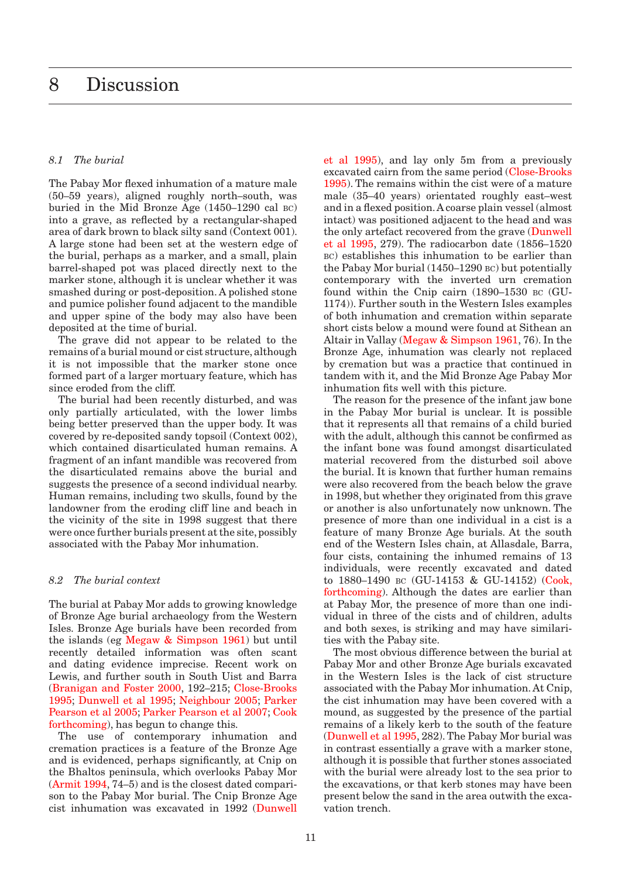## <span id="page-0-0"></span>*8.1 The burial*

The Pabay Mor flexed inhumation of a mature male (50–59 years), aligned roughly north–south, was buried in the Mid Bronze Age (1450–1290 cal bc) into a grave, as reflected by a rectangular-shaped area of dark brown to black silty sand (Context 001). A large stone had been set at the western edge of the burial, perhaps as a marker, and a small, plain barrel-shaped pot was placed directly next to the marker stone, although it is unclear whether it was smashed during or post-deposition. A polished stone and pumice polisher found adjacent to the mandible and upper spine of the body may also have been deposited at the time of burial.

The grave did not appear to be related to the remains of a burial mound or cist structure, although it is not impossible that the marker stone once formed part of a larger mortuary feature, which has since eroded from the cliff.

The burial had been recently disturbed, and was only partially articulated, with the lower limbs being better preserved than the upper body. It was covered by re-deposited sandy topsoil (Context 002), which contained disarticulated human remains. A fragment of an infant mandible was recovered from the disarticulated remains above the burial and suggests the presence of a second individual nearby. Human remains, including two skulls, found by the landowner from the eroding cliff line and beach in the vicinity of the site in 1998 suggest that there were once further burials present at the site, possibly associated with the Pabay Mor inhumation.

## *8.2 The burial context*

The burial at Pabay Mor adds to growing knowledge of Bronze Age burial archaeology from the Western Isles. Bronze Age burials have been recorded from the islands (eg Megaw & Simpson 1961) but until recently detailed information was often scant and dating evidence imprecise. Recent work on Lewis, and further south in South Uist and Barra (Branigan and Foster 2000, 192–215; Close-Brooks 1995; Dunwell et al 1995; Neighbour 2005; Parker Pearson et al 2005; Parker Pearson et al 2007; Cook forthcoming), has begun to change this.

The use of contemporary inhumation and cremation practices is a feature of the Bronze Age and is evidenced, perhaps significantly, at Cnip on the Bhaltos peninsula, which overlooks Pabay Mor (Armit 1994, 74–5) and is the closest dated comparison to the Pabay Mor burial. The Cnip Bronze Age cist inhumation was excavated in 1992 (Dunwell et al 1995), and lay only 5m from a previously excavated cairn from the same period (Close-Brooks 1995). The remains within the cist were of a mature male (35–40 years) orientated roughly east–west and in a flexed position. A coarse plain vessel (almost intact) was positioned adjacent to the head and was the only artefact recovered from the grave (Dunwell et al 1995, 279). The radiocarbon date (1856–1520 BC) establishes this inhumation to be earlier than the Pabay Mor burial (1450–1290 bc) but potentially contemporary with the inverted urn cremation found within the Cnip cairn (1890–1530 bc (GU-1174)). Further south in the Western Isles examples of both inhumation and cremation within separate short cists below a mound were found at Sithean an Altair in Vallay (Megaw & Simpson 1961, 76). In the Bronze Age, inhumation was clearly not replaced by cremation but was a practice that continued in tandem with it, and the Mid Bronze Age Pabay Mor inhumation fits well with this picture.

The reason for the presence of the infant jaw bone in the Pabay Mor burial is unclear. It is possible that it represents all that remains of a child buried with the adult, although this cannot be confirmed as the infant bone was found amongst disarticulated material recovered from the disturbed soil above the burial. It is known that further human remains were also recovered from the beach below the grave in 1998, but whether they originated from this grave or another is also unfortunately now unknown. The presence of more than one individual in a cist is a feature of many Bronze Age burials. At the south end of the Western Isles chain, at Allasdale, Barra, four cists, containing the inhumed remains of 13 individuals, were recently excavated and dated to 1880–1490 bc (GU-14153 & GU-14152) (Cook, forthcoming). Although the dates are earlier than at Pabay Mor, the presence of more than one individual in three of the cists and of children, adults and both sexes, is striking and may have similarities with the Pabay site.

The most obvious difference between the burial at Pabay Mor and other Bronze Age burials excavated in the Western Isles is the lack of cist structure associated with the Pabay Mor inhumation. At Cnip, the cist inhumation may have been covered with a mound, as suggested by the presence of the partial remains of a likely kerb to the south of the feature (Dunwell et al 1995, 282). The Pabay Mor burial was in contrast essentially a grave with a marker stone, although it is possible that further stones associated with the burial were already lost to the sea prior to the excavations, or that kerb stones may have been present below the sand in the area outwith the excavation trench.